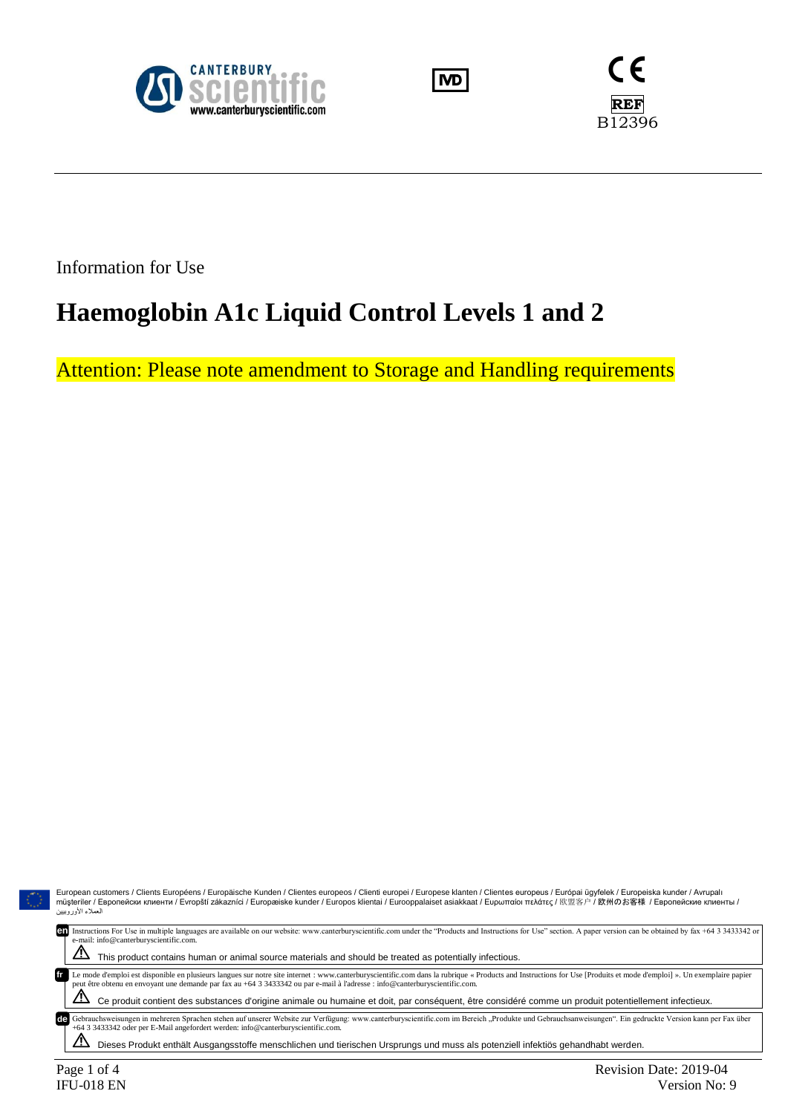





Information for Use

# **Haemoglobin A1c Liquid Control Levels 1 and 2**

Attention: Please note amendment to Storage and Handling requirements

| European customers / Clients Européens / Europäische Kunden / Clientes europeos / Clienti europei / Europese klanten / Clientes europeus / Európai ügyfelek / Europeiska kunder / Avrupalı<br>müsteriler / Европейски клиенти / Evropští zákazníci / Europæiske kunder / Europos klientai / Eurooppalaiset asiakkaat / Ευρωπαίοι πελάτες / 欧盟客户 / 欧州のお客様 / Европейские клиенты /<br>العملاء الأوروبيين                                                                                                       |
|--------------------------------------------------------------------------------------------------------------------------------------------------------------------------------------------------------------------------------------------------------------------------------------------------------------------------------------------------------------------------------------------------------------------------------------------------------------------------------------------------------------|
| Instructions For Use in multiple languages are available on our website: www.canterburyscientific.com under the "Products and Instructions for Use" section. A paper version can be obtained by fax +64 3 3433342 or<br>en<br>e-mail: info@canterburyscientific.com.<br><u>/!\</u><br>This product contains human or animal source materials and should be treated as potentially infectious.                                                                                                                |
| Le mode d'emploi est disponible en plusieurs langues sur notre site internet : www.canterburyscientific.com dans la rubrique « Products and Instructions for Use [Produits et mode d'emploi] ». Un exemplaire papier<br>peut être obtenu en envoyant une demande par fax au +64 3 3433342 ou par e-mail à l'adresse : info@canterburyscientific.com.<br>Ce produit contient des substances d'origine animale ou humaine et doit, par conséquent, être considéré comme un produit potentiellement infectieux. |
| Gebrauchsweisungen in mehreren Sprachen stehen auf unserer Website zur Verfügung: www.canterburyscientific.com im Bereich "Produkte und Gebrauchsanweisungen". Ein gedruckte Version kann per Fax über<br>de<br>+64 3 3433342 oder per E-Mail angefordert werden: info@canterburyscientific.com.<br>Dieses Produkt enthält Ausgangsstoffe menschlichen und tierischen Ursprungs und muss als potenziell infektiös gehandhabt werden.                                                                         |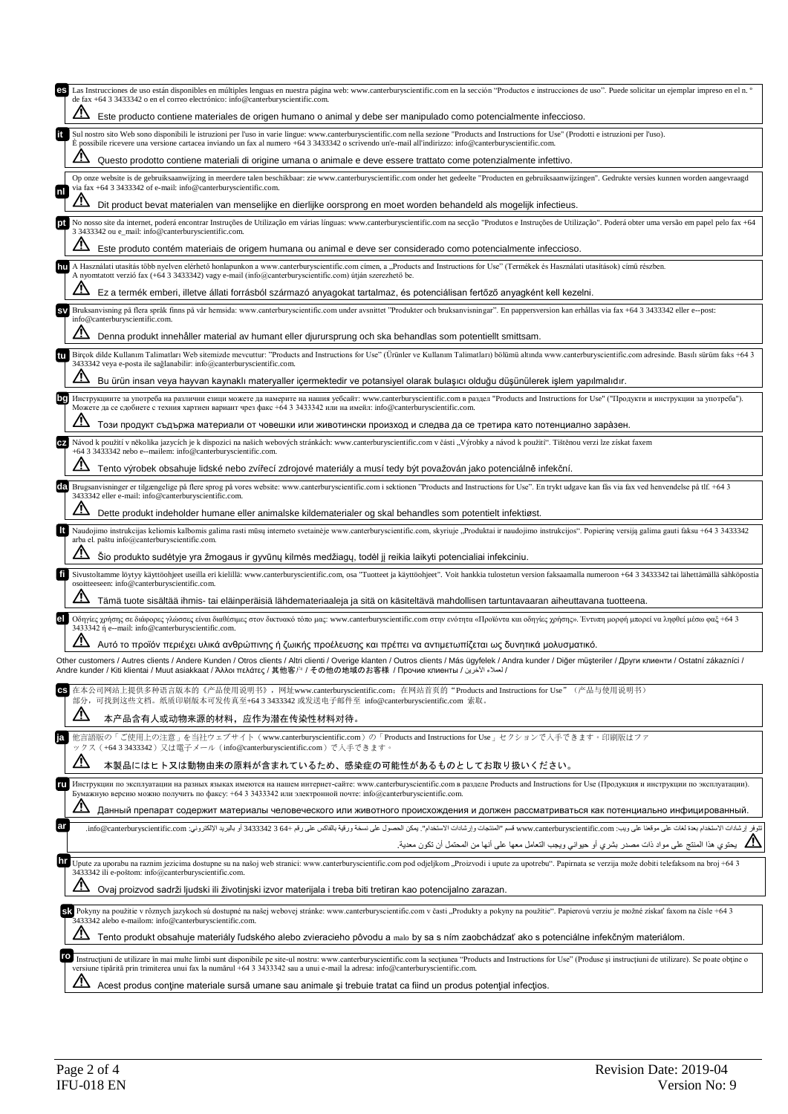| Las Instrucciones de uso están disponibles en múltiples lenguas en nuestra página web: www.canterburyscientific.com en la sección "Productos e instrucciones de uso". Puede solicitar un ejemplar impreso en el n.º<br>es<br>de fax +64 3 3433342 o en el correo electrónico: info@canterburyscientific.com.<br>Este producto contiene materiales de origen humano o animal y debe ser manipulado como potencialmente infeccioso.<br>Sul nostro sito Web sono disponibili le istruzioni per l'uso in varie lingue: www.canterburyscientific.com nella sezione "Products and Instructions for Use" (Prodotti e istruzioni per l'uso).<br>E possibile ricevere una versione cartacea inviando un fax al numero +64 3 3433342 o scrivendo un'e-mail all'indirizzo: info@canterburyscientific.com.<br>Questo prodotto contiene materiali di origine umana o animale e deve essere trattato come potenzialmente infettivo.<br>Op onze website is de gebruiksaanwijzing in meerdere talen beschikbaar: zie www.canterburyscientific.com onder het gedeelte "Producten en gebruiksaanwijzingen". Gedrukte versies kunnen worden aangevraagd<br>via fax +64 3 3433342 of e-mail: info@canterburyscientific.com.<br>nl<br>Dit product bevat materialen van menselijke en dierlijke oorsprong en moet worden behandeld als mogelijk infectieus.<br>No nosso site da internet, poderá encontrar Instruções de Utilização em várias línguas: www.canterburyscientific.com na secção "Produtos e Instruções de Utilização". Poderá obter uma versão em papel pelo fax +64<br>3 3433342 ou e mail: info@canterburyscientific.com.<br>Este produto contém materiais de origem humana ou animal e deve ser considerado como potencialmente infeccioso.<br>A Használati utasítás több nyelven elérhető honlapunkon a www.canterburyscientific.com címen, a "Products and Instructions for Use" (Termékek és Használati utasítások) című részben.<br>hu<br>A nyomtatott verzió fax (+64 3 3433342) vagy e-mail (info@canterburyscientific.com) útján szerezhető be.<br>Ez a termék emberi, illetve állati forrásból származó anyagokat tartalmaz, és potenciálisan fertőző anyagként kell kezelni.<br>Bruksanvisning på flera språk finns på vår hemsida: www.canterburyscientific.com under avsnittet "Produkter och bruksanvisningar". En pappersversion kan erhållas via fax +64 3 3433342 eller e--post:<br><b>ISV</b><br>info@canterburyscientific.com.<br>Denna produkt innehåller material av humant eller djurursprung och ska behandlas som potentiellt smittsam.<br>Birçok dilde Kullanım Talimatları Web sitemizde mevcuttur: "Products and Instructions for Use" (Urünler ve Kullanım Talimatları) bölümü altında www.canterburyscientific.com adresinde. Basılı sürüm faks +64 3<br>tu<br>3433342 veya e-posta ile sağlanabilir: info@canterburyscientific.com.<br>Bu ürün insan veya hayvan kaynaklı materyaller içermektedir ve potansiyel olarak bulaşıcı olduğu düşünülerek işlem yapılmalıdır.<br>Инструкциите за употреба на различни езици можете да намерите на нашия уебсайт: www.canterburyscientific.com в раздел "Products and Instructions for Use" ("Продукти и инструкции за употреба").<br>Можете да се сдобиете с техния хартиен вариант чрез факс +64 3 3433342 или на имейл: info@canterburyscientific.com.<br>Този продукт съдържа материали от човешки или животински произход и следва да се третира като потенциално заразен.<br>Návod k použití v několika jazycích je k dispozici na našich webových stránkách: www.canterburyscientific.com v části "Výrobky a návod k použití". Tištěnou verzi lze získat faxem<br>CZ<br>+64 3 3433342 nebo e--mailem: info@canterburyscientific.com.<br>Tento výrobek obsahuje lidské nebo zvířecí zdrojové materiály a musí tedy být považován jako potenciálně infekční.<br>Brugsanvisninger er tilgængelige på flere sprog på vores website: www.canterburyscientific.com i sektionen "Products and Instructions for Use". En trykt udgave kan fås via fax ved henvendelse på tlf. +64 3<br>da<br>3433342 eller e-mail: info@canterburyscientific.com.<br>Dette produkt indeholder humane eller animalske kildematerialer og skal behandles som potentielt infektiøst.<br><b>It</b><br>Naudojimo instrukcijas keliomis kalbomis galima rasti mūsų interneto svetainėje www.canterburyscientific.com, skyriuje "Produktai ir naudojimo instrukcijos". Popierinę versiją galima gauti faksu +64 3 3433342<br>arba el. paštu info@canterburyscientific.com.<br>Šio produkto sudėtyje yra žmogaus ir gyvūnų kilmės medžiagų, todėl jį reikia laikyti potencialiai infekciniu.<br>Sivustoltamme löytyy käyttöohjeet useilla eri kielillä: www.canterburyscientific.com, osa "Tuotteet ja käyttöohjeet". Voit hankkia tulostetun version faksaamalla numeroon +64 3 3433342 tai lähettämällä sähköpostia<br>fi<br>osoitteeseen: info@canterburyscientific.com.<br>Tämä tuote sisältää ihmis- tai eläinperäisiä lähdemateriaaleja ja sitä on käsiteltävä mahdollisen tartuntavaaran aiheuttavana tuotteena.<br>Οδηγίες χρήσης σε διάφορες γλώσσες είναι διαθέσιμες στον δικτυακό τόπο μας: www.canterburyscientific.com στην ενότητα «Προϊόντα και οδηγίες χρήσης». Έντυπη μορφή μπορεί να ληφθεί μέσω φαξ +64 3<br>3433342 ή e--mail: info@canterburyscientific.com.<br>Αυτό το προϊόν περιέχει υλικά ανθρώπινης ή ζωικής προέλευσης και πρέπει να αντιμετωπίζεται ως δυνητικά μολυσματικό.<br>Other customers / Autres clients / Andere Kunden / Otros clients / Altri clienti / Overige klanten / Outros clients / Más ügyfelek / Andra kunder / Diğer müşteriler / Други клиенти / Ostatní zákazníci /<br>/ العدلاء الآخرين / Andre kunder / Kiti klientai / Muut asiakkaat / Άλλοι πελάτες / 其他客户 / その他の地域のお客様 / Прочие клиенты / الحدلاء الآخرين<br>在本公司网站上提供多种语言版本的《产品使用说明书》, 网址www.canterburyscientific.com; 在网站首页的"Products and Instructions for Use"(产品与使用说明书)<br>CS<br>部分, 可找到这些文档。纸质印刷版本可发传真至+64 3 3433342 或发送电子邮件至 info@canterburyscientific.com 索取。<br>本产品含有人或动物来源的材料,应作为潜在传染性材料对待。<br>他言語版の「ご使用上の注意」を当社ウェブサイト(www.canterburyscientific.com)の「Products and Instructions for Use」セクションで入手できます。印刷版はファ<br>ia<br>ックス(+64 3 3433342)又は電子メール(info@canterburyscientific.com)で入手できます。<br>本製品にはヒト又は動物由来の原料が含まれているため、感染症の可能性があるものとしてお取り扱いください。<br>Инструкции по эксплуатации на разных языках имеются на нашем интернет-сайте: www.canterburyscientific.com в разделе Products and Instructions for Use (Продукция и инструкции по эксплуатации).<br>ru<br>Бумажную версию можно получить по факсу: +64 3 3433342 или электронной почте: info@canterburyscientific.com.<br>Данный препарат содержит материалы человеческого или животного происхождения и должен рассматриваться как потенциально инфицированный.<br>ar<br>تتوفر إرشادات الاستخدام بعدة لخات على موقعنا على ويب: www.canterburyscientific.com فسم "العنتجات وإرشادات الاستخدام". يمكن الحصول على نسخة ورقية بالفاكس على رقم +6 3 3433342 أو بالبريد الإلكتروني: info@canterburyscientifi<br>يحتوي هذا المنتج على مواد ذات مصدر بشري أو حيواني ويجب التعامل معها على أنها من المحتمل أن تكون معدية.<br> hr<br>Upute za uporabu na raznim jezicima dostupne su na našoj web stranici: www.canterburyscientific.com pod odjeljkom "Proizvodi i upute za upotrebu". Papirnata se verzija može dobiti telefaksom na broj +64 3<br>3433342 ili e-poštom: info@canterburyscientific.com.<br>Ovaj proizvod sadrži ljudski ili životinjski izvor materijala i treba biti tretiran kao potencijalno zarazan.<br>Sk Pokyny na použitie v rôznych jazykoch sú dostupné na našej webovej stránke: www.canterburyscientific.com v časti "Produkty a pokyny na použitie". Papierovú verziu je možné získať faxom na čísle +64 3<br>3433342 alebo e-mailom: info@canterburyscientific.com.<br>Tento produkt obsahuje materiály ľudského alebo zvieracieho pôvodu a malo by sa s ním zaobchádzať ako s potenciálne infekčným materiálom.<br>ro<br>Instrucțiuni de utilizare în mai multe limbi sunt disponibile pe site-ul nostru: www.canterburyscientific.com la secțiunea "Products and Instructions for Use" (Produse și instrucțiuni de utilizare). Se poate obține o<br>versiune tipărită prin trimiterea unui fax la numărul +64 3 3433342 sau a unui e-mail la adresa: info@canterburyscientific.com. |                                                                                                                  |
|---------------------------------------------------------------------------------------------------------------------------------------------------------------------------------------------------------------------------------------------------------------------------------------------------------------------------------------------------------------------------------------------------------------------------------------------------------------------------------------------------------------------------------------------------------------------------------------------------------------------------------------------------------------------------------------------------------------------------------------------------------------------------------------------------------------------------------------------------------------------------------------------------------------------------------------------------------------------------------------------------------------------------------------------------------------------------------------------------------------------------------------------------------------------------------------------------------------------------------------------------------------------------------------------------------------------------------------------------------------------------------------------------------------------------------------------------------------------------------------------------------------------------------------------------------------------------------------------------------------------------------------------------------------------------------------------------------------------------------------------------------------------------------------------------------------------------------------------------------------------------------------------------------------------------------------------------------------------------------------------------------------------------------------------------------------------------------------------------------------------------------------------------------------------------------------------------------------------------------------------------------------------------------------------------------------------------------------------------------------------------------------------------------------------------------------------------------------------------------------------------------------------------------------------------------------------------------------------------------------------------------------------------------------------------------------------------------------------------------------------------------------------------------------------------------------------------------------------------------------------------------------------------------------------------------------------------------------------------------------------------------------------------------------------------------------------------------------------------------------------------------------------------------------------------------------------------------------------------------------------------------------------------------------------------------------------------------------------------------------------------------------------------------------------------------------------------------------------------------------------------------------------------------------------------------------------------------------------------------------------------------------------------------------------------------------------------------------------------------------------------------------------------------------------------------------------------------------------------------------------------------------------------------------------------------------------------------------------------------------------------------------------------------------------------------------------------------------------------------------------------------------------------------------------------------------------------------------------------------------------------------------------------------------------------------------------------------------------------------------------------------------------------------------------------------------------------------------------------------------------------------------------------------------------------------------------------------------------------------------------------------------------------------------------------------------------------------------------------------------------------------------------------------------------------------------------------------------------------------------------------------------------------------------------------------------------------------------------------------------------------------------------------------------------------------------------------------------------------------------------------------------------------------------------------------------------------------------------------------------------------------------------------------------------------------------------------------------------------------------------------------------------------------------------------------------------------------------------------------------------------------------------------------------------------------------------------------------------------------------------------------------------------------------------------------------------------------------------------------------------------------------------------------------------------------------------------------------------------------------------------------------------------------------------------------------------------------------------------------------------------------------------------------------------------------------------------------------------------------------------------------------------------------------------------------------------------------------------------------------------------------------------------------------------------------------------------------------------------------------------------------------------------------------------------------------------------------------------------------------------------------------------------------------------------------------------------------------------------------------------------------------------------------------------------------------------------------------------------------------------------------------------------------------------------------------------------------------------------------------------------------------------------------------------------------------------------------------------------------------------------------------------------------------------------------------------------------------------------------------------------------------------------------------------------------------------------------------------------------------------------------------------------------------------------------------------------------------------------------------------------------------------------------------------------------------------------------------------------------------------------------------------------------------------------------------------------------------------------------------------------------------------------------------------------------------------------------------------------------------------------------------------------------------------------------------------------------------------------------------------------------------------------------------------------------------------------------------------------------------------------------------------------------------------------------------------------------------------------------------------------------------------------------------------------------------------------------------------------------------------------------------------------------------------------------------------|------------------------------------------------------------------------------------------------------------------|
|                                                                                                                                                                                                                                                                                                                                                                                                                                                                                                                                                                                                                                                                                                                                                                                                                                                                                                                                                                                                                                                                                                                                                                                                                                                                                                                                                                                                                                                                                                                                                                                                                                                                                                                                                                                                                                                                                                                                                                                                                                                                                                                                                                                                                                                                                                                                                                                                                                                                                                                                                                                                                                                                                                                                                                                                                                                                                                                                                                                                                                                                                                                                                                                                                                                                                                                                                                                                                                                                                                                                                                                                                                                                                                                                                                                                                                                                                                                                                                                                                                                                                                                                                                                                                                                                                                                                                                                                                                                                                                                                                                                                                                                                                                                                                                                                                                                                                                                                                                                                                                                                                                                                                                                                                                                                                                                                                                                                                                                                                                                                                                                                                                                                                                                                                                                                                                                                                                                                                                                                                                                                                                                                                                                                                                                                                                                                                                                                                                                                                                                                                                                                                                                                                                                                                                                                                                                                                                                                                                                                                                                                                                                                                                                                                                                                                                                                                                                                                                                                                                                                                                                                                                                                                                                                                                                                                                                                                                                                                                                                                                                                                                                                                                                                                                                                                                                     |                                                                                                                  |
|                                                                                                                                                                                                                                                                                                                                                                                                                                                                                                                                                                                                                                                                                                                                                                                                                                                                                                                                                                                                                                                                                                                                                                                                                                                                                                                                                                                                                                                                                                                                                                                                                                                                                                                                                                                                                                                                                                                                                                                                                                                                                                                                                                                                                                                                                                                                                                                                                                                                                                                                                                                                                                                                                                                                                                                                                                                                                                                                                                                                                                                                                                                                                                                                                                                                                                                                                                                                                                                                                                                                                                                                                                                                                                                                                                                                                                                                                                                                                                                                                                                                                                                                                                                                                                                                                                                                                                                                                                                                                                                                                                                                                                                                                                                                                                                                                                                                                                                                                                                                                                                                                                                                                                                                                                                                                                                                                                                                                                                                                                                                                                                                                                                                                                                                                                                                                                                                                                                                                                                                                                                                                                                                                                                                                                                                                                                                                                                                                                                                                                                                                                                                                                                                                                                                                                                                                                                                                                                                                                                                                                                                                                                                                                                                                                                                                                                                                                                                                                                                                                                                                                                                                                                                                                                                                                                                                                                                                                                                                                                                                                                                                                                                                                                                                                                                                                                     |                                                                                                                  |
|                                                                                                                                                                                                                                                                                                                                                                                                                                                                                                                                                                                                                                                                                                                                                                                                                                                                                                                                                                                                                                                                                                                                                                                                                                                                                                                                                                                                                                                                                                                                                                                                                                                                                                                                                                                                                                                                                                                                                                                                                                                                                                                                                                                                                                                                                                                                                                                                                                                                                                                                                                                                                                                                                                                                                                                                                                                                                                                                                                                                                                                                                                                                                                                                                                                                                                                                                                                                                                                                                                                                                                                                                                                                                                                                                                                                                                                                                                                                                                                                                                                                                                                                                                                                                                                                                                                                                                                                                                                                                                                                                                                                                                                                                                                                                                                                                                                                                                                                                                                                                                                                                                                                                                                                                                                                                                                                                                                                                                                                                                                                                                                                                                                                                                                                                                                                                                                                                                                                                                                                                                                                                                                                                                                                                                                                                                                                                                                                                                                                                                                                                                                                                                                                                                                                                                                                                                                                                                                                                                                                                                                                                                                                                                                                                                                                                                                                                                                                                                                                                                                                                                                                                                                                                                                                                                                                                                                                                                                                                                                                                                                                                                                                                                                                                                                                                                                     |                                                                                                                  |
|                                                                                                                                                                                                                                                                                                                                                                                                                                                                                                                                                                                                                                                                                                                                                                                                                                                                                                                                                                                                                                                                                                                                                                                                                                                                                                                                                                                                                                                                                                                                                                                                                                                                                                                                                                                                                                                                                                                                                                                                                                                                                                                                                                                                                                                                                                                                                                                                                                                                                                                                                                                                                                                                                                                                                                                                                                                                                                                                                                                                                                                                                                                                                                                                                                                                                                                                                                                                                                                                                                                                                                                                                                                                                                                                                                                                                                                                                                                                                                                                                                                                                                                                                                                                                                                                                                                                                                                                                                                                                                                                                                                                                                                                                                                                                                                                                                                                                                                                                                                                                                                                                                                                                                                                                                                                                                                                                                                                                                                                                                                                                                                                                                                                                                                                                                                                                                                                                                                                                                                                                                                                                                                                                                                                                                                                                                                                                                                                                                                                                                                                                                                                                                                                                                                                                                                                                                                                                                                                                                                                                                                                                                                                                                                                                                                                                                                                                                                                                                                                                                                                                                                                                                                                                                                                                                                                                                                                                                                                                                                                                                                                                                                                                                                                                                                                                                                     |                                                                                                                  |
|                                                                                                                                                                                                                                                                                                                                                                                                                                                                                                                                                                                                                                                                                                                                                                                                                                                                                                                                                                                                                                                                                                                                                                                                                                                                                                                                                                                                                                                                                                                                                                                                                                                                                                                                                                                                                                                                                                                                                                                                                                                                                                                                                                                                                                                                                                                                                                                                                                                                                                                                                                                                                                                                                                                                                                                                                                                                                                                                                                                                                                                                                                                                                                                                                                                                                                                                                                                                                                                                                                                                                                                                                                                                                                                                                                                                                                                                                                                                                                                                                                                                                                                                                                                                                                                                                                                                                                                                                                                                                                                                                                                                                                                                                                                                                                                                                                                                                                                                                                                                                                                                                                                                                                                                                                                                                                                                                                                                                                                                                                                                                                                                                                                                                                                                                                                                                                                                                                                                                                                                                                                                                                                                                                                                                                                                                                                                                                                                                                                                                                                                                                                                                                                                                                                                                                                                                                                                                                                                                                                                                                                                                                                                                                                                                                                                                                                                                                                                                                                                                                                                                                                                                                                                                                                                                                                                                                                                                                                                                                                                                                                                                                                                                                                                                                                                                                                     |                                                                                                                  |
|                                                                                                                                                                                                                                                                                                                                                                                                                                                                                                                                                                                                                                                                                                                                                                                                                                                                                                                                                                                                                                                                                                                                                                                                                                                                                                                                                                                                                                                                                                                                                                                                                                                                                                                                                                                                                                                                                                                                                                                                                                                                                                                                                                                                                                                                                                                                                                                                                                                                                                                                                                                                                                                                                                                                                                                                                                                                                                                                                                                                                                                                                                                                                                                                                                                                                                                                                                                                                                                                                                                                                                                                                                                                                                                                                                                                                                                                                                                                                                                                                                                                                                                                                                                                                                                                                                                                                                                                                                                                                                                                                                                                                                                                                                                                                                                                                                                                                                                                                                                                                                                                                                                                                                                                                                                                                                                                                                                                                                                                                                                                                                                                                                                                                                                                                                                                                                                                                                                                                                                                                                                                                                                                                                                                                                                                                                                                                                                                                                                                                                                                                                                                                                                                                                                                                                                                                                                                                                                                                                                                                                                                                                                                                                                                                                                                                                                                                                                                                                                                                                                                                                                                                                                                                                                                                                                                                                                                                                                                                                                                                                                                                                                                                                                                                                                                                                                     |                                                                                                                  |
|                                                                                                                                                                                                                                                                                                                                                                                                                                                                                                                                                                                                                                                                                                                                                                                                                                                                                                                                                                                                                                                                                                                                                                                                                                                                                                                                                                                                                                                                                                                                                                                                                                                                                                                                                                                                                                                                                                                                                                                                                                                                                                                                                                                                                                                                                                                                                                                                                                                                                                                                                                                                                                                                                                                                                                                                                                                                                                                                                                                                                                                                                                                                                                                                                                                                                                                                                                                                                                                                                                                                                                                                                                                                                                                                                                                                                                                                                                                                                                                                                                                                                                                                                                                                                                                                                                                                                                                                                                                                                                                                                                                                                                                                                                                                                                                                                                                                                                                                                                                                                                                                                                                                                                                                                                                                                                                                                                                                                                                                                                                                                                                                                                                                                                                                                                                                                                                                                                                                                                                                                                                                                                                                                                                                                                                                                                                                                                                                                                                                                                                                                                                                                                                                                                                                                                                                                                                                                                                                                                                                                                                                                                                                                                                                                                                                                                                                                                                                                                                                                                                                                                                                                                                                                                                                                                                                                                                                                                                                                                                                                                                                                                                                                                                                                                                                                                                     |                                                                                                                  |
|                                                                                                                                                                                                                                                                                                                                                                                                                                                                                                                                                                                                                                                                                                                                                                                                                                                                                                                                                                                                                                                                                                                                                                                                                                                                                                                                                                                                                                                                                                                                                                                                                                                                                                                                                                                                                                                                                                                                                                                                                                                                                                                                                                                                                                                                                                                                                                                                                                                                                                                                                                                                                                                                                                                                                                                                                                                                                                                                                                                                                                                                                                                                                                                                                                                                                                                                                                                                                                                                                                                                                                                                                                                                                                                                                                                                                                                                                                                                                                                                                                                                                                                                                                                                                                                                                                                                                                                                                                                                                                                                                                                                                                                                                                                                                                                                                                                                                                                                                                                                                                                                                                                                                                                                                                                                                                                                                                                                                                                                                                                                                                                                                                                                                                                                                                                                                                                                                                                                                                                                                                                                                                                                                                                                                                                                                                                                                                                                                                                                                                                                                                                                                                                                                                                                                                                                                                                                                                                                                                                                                                                                                                                                                                                                                                                                                                                                                                                                                                                                                                                                                                                                                                                                                                                                                                                                                                                                                                                                                                                                                                                                                                                                                                                                                                                                                                                     |                                                                                                                  |
|                                                                                                                                                                                                                                                                                                                                                                                                                                                                                                                                                                                                                                                                                                                                                                                                                                                                                                                                                                                                                                                                                                                                                                                                                                                                                                                                                                                                                                                                                                                                                                                                                                                                                                                                                                                                                                                                                                                                                                                                                                                                                                                                                                                                                                                                                                                                                                                                                                                                                                                                                                                                                                                                                                                                                                                                                                                                                                                                                                                                                                                                                                                                                                                                                                                                                                                                                                                                                                                                                                                                                                                                                                                                                                                                                                                                                                                                                                                                                                                                                                                                                                                                                                                                                                                                                                                                                                                                                                                                                                                                                                                                                                                                                                                                                                                                                                                                                                                                                                                                                                                                                                                                                                                                                                                                                                                                                                                                                                                                                                                                                                                                                                                                                                                                                                                                                                                                                                                                                                                                                                                                                                                                                                                                                                                                                                                                                                                                                                                                                                                                                                                                                                                                                                                                                                                                                                                                                                                                                                                                                                                                                                                                                                                                                                                                                                                                                                                                                                                                                                                                                                                                                                                                                                                                                                                                                                                                                                                                                                                                                                                                                                                                                                                                                                                                                                                     |                                                                                                                  |
|                                                                                                                                                                                                                                                                                                                                                                                                                                                                                                                                                                                                                                                                                                                                                                                                                                                                                                                                                                                                                                                                                                                                                                                                                                                                                                                                                                                                                                                                                                                                                                                                                                                                                                                                                                                                                                                                                                                                                                                                                                                                                                                                                                                                                                                                                                                                                                                                                                                                                                                                                                                                                                                                                                                                                                                                                                                                                                                                                                                                                                                                                                                                                                                                                                                                                                                                                                                                                                                                                                                                                                                                                                                                                                                                                                                                                                                                                                                                                                                                                                                                                                                                                                                                                                                                                                                                                                                                                                                                                                                                                                                                                                                                                                                                                                                                                                                                                                                                                                                                                                                                                                                                                                                                                                                                                                                                                                                                                                                                                                                                                                                                                                                                                                                                                                                                                                                                                                                                                                                                                                                                                                                                                                                                                                                                                                                                                                                                                                                                                                                                                                                                                                                                                                                                                                                                                                                                                                                                                                                                                                                                                                                                                                                                                                                                                                                                                                                                                                                                                                                                                                                                                                                                                                                                                                                                                                                                                                                                                                                                                                                                                                                                                                                                                                                                                                                     |                                                                                                                  |
|                                                                                                                                                                                                                                                                                                                                                                                                                                                                                                                                                                                                                                                                                                                                                                                                                                                                                                                                                                                                                                                                                                                                                                                                                                                                                                                                                                                                                                                                                                                                                                                                                                                                                                                                                                                                                                                                                                                                                                                                                                                                                                                                                                                                                                                                                                                                                                                                                                                                                                                                                                                                                                                                                                                                                                                                                                                                                                                                                                                                                                                                                                                                                                                                                                                                                                                                                                                                                                                                                                                                                                                                                                                                                                                                                                                                                                                                                                                                                                                                                                                                                                                                                                                                                                                                                                                                                                                                                                                                                                                                                                                                                                                                                                                                                                                                                                                                                                                                                                                                                                                                                                                                                                                                                                                                                                                                                                                                                                                                                                                                                                                                                                                                                                                                                                                                                                                                                                                                                                                                                                                                                                                                                                                                                                                                                                                                                                                                                                                                                                                                                                                                                                                                                                                                                                                                                                                                                                                                                                                                                                                                                                                                                                                                                                                                                                                                                                                                                                                                                                                                                                                                                                                                                                                                                                                                                                                                                                                                                                                                                                                                                                                                                                                                                                                                                                                     |                                                                                                                  |
|                                                                                                                                                                                                                                                                                                                                                                                                                                                                                                                                                                                                                                                                                                                                                                                                                                                                                                                                                                                                                                                                                                                                                                                                                                                                                                                                                                                                                                                                                                                                                                                                                                                                                                                                                                                                                                                                                                                                                                                                                                                                                                                                                                                                                                                                                                                                                                                                                                                                                                                                                                                                                                                                                                                                                                                                                                                                                                                                                                                                                                                                                                                                                                                                                                                                                                                                                                                                                                                                                                                                                                                                                                                                                                                                                                                                                                                                                                                                                                                                                                                                                                                                                                                                                                                                                                                                                                                                                                                                                                                                                                                                                                                                                                                                                                                                                                                                                                                                                                                                                                                                                                                                                                                                                                                                                                                                                                                                                                                                                                                                                                                                                                                                                                                                                                                                                                                                                                                                                                                                                                                                                                                                                                                                                                                                                                                                                                                                                                                                                                                                                                                                                                                                                                                                                                                                                                                                                                                                                                                                                                                                                                                                                                                                                                                                                                                                                                                                                                                                                                                                                                                                                                                                                                                                                                                                                                                                                                                                                                                                                                                                                                                                                                                                                                                                                                                     |                                                                                                                  |
|                                                                                                                                                                                                                                                                                                                                                                                                                                                                                                                                                                                                                                                                                                                                                                                                                                                                                                                                                                                                                                                                                                                                                                                                                                                                                                                                                                                                                                                                                                                                                                                                                                                                                                                                                                                                                                                                                                                                                                                                                                                                                                                                                                                                                                                                                                                                                                                                                                                                                                                                                                                                                                                                                                                                                                                                                                                                                                                                                                                                                                                                                                                                                                                                                                                                                                                                                                                                                                                                                                                                                                                                                                                                                                                                                                                                                                                                                                                                                                                                                                                                                                                                                                                                                                                                                                                                                                                                                                                                                                                                                                                                                                                                                                                                                                                                                                                                                                                                                                                                                                                                                                                                                                                                                                                                                                                                                                                                                                                                                                                                                                                                                                                                                                                                                                                                                                                                                                                                                                                                                                                                                                                                                                                                                                                                                                                                                                                                                                                                                                                                                                                                                                                                                                                                                                                                                                                                                                                                                                                                                                                                                                                                                                                                                                                                                                                                                                                                                                                                                                                                                                                                                                                                                                                                                                                                                                                                                                                                                                                                                                                                                                                                                                                                                                                                                                                     |                                                                                                                  |
|                                                                                                                                                                                                                                                                                                                                                                                                                                                                                                                                                                                                                                                                                                                                                                                                                                                                                                                                                                                                                                                                                                                                                                                                                                                                                                                                                                                                                                                                                                                                                                                                                                                                                                                                                                                                                                                                                                                                                                                                                                                                                                                                                                                                                                                                                                                                                                                                                                                                                                                                                                                                                                                                                                                                                                                                                                                                                                                                                                                                                                                                                                                                                                                                                                                                                                                                                                                                                                                                                                                                                                                                                                                                                                                                                                                                                                                                                                                                                                                                                                                                                                                                                                                                                                                                                                                                                                                                                                                                                                                                                                                                                                                                                                                                                                                                                                                                                                                                                                                                                                                                                                                                                                                                                                                                                                                                                                                                                                                                                                                                                                                                                                                                                                                                                                                                                                                                                                                                                                                                                                                                                                                                                                                                                                                                                                                                                                                                                                                                                                                                                                                                                                                                                                                                                                                                                                                                                                                                                                                                                                                                                                                                                                                                                                                                                                                                                                                                                                                                                                                                                                                                                                                                                                                                                                                                                                                                                                                                                                                                                                                                                                                                                                                                                                                                                                                     |                                                                                                                  |
|                                                                                                                                                                                                                                                                                                                                                                                                                                                                                                                                                                                                                                                                                                                                                                                                                                                                                                                                                                                                                                                                                                                                                                                                                                                                                                                                                                                                                                                                                                                                                                                                                                                                                                                                                                                                                                                                                                                                                                                                                                                                                                                                                                                                                                                                                                                                                                                                                                                                                                                                                                                                                                                                                                                                                                                                                                                                                                                                                                                                                                                                                                                                                                                                                                                                                                                                                                                                                                                                                                                                                                                                                                                                                                                                                                                                                                                                                                                                                                                                                                                                                                                                                                                                                                                                                                                                                                                                                                                                                                                                                                                                                                                                                                                                                                                                                                                                                                                                                                                                                                                                                                                                                                                                                                                                                                                                                                                                                                                                                                                                                                                                                                                                                                                                                                                                                                                                                                                                                                                                                                                                                                                                                                                                                                                                                                                                                                                                                                                                                                                                                                                                                                                                                                                                                                                                                                                                                                                                                                                                                                                                                                                                                                                                                                                                                                                                                                                                                                                                                                                                                                                                                                                                                                                                                                                                                                                                                                                                                                                                                                                                                                                                                                                                                                                                                                                     |                                                                                                                  |
|                                                                                                                                                                                                                                                                                                                                                                                                                                                                                                                                                                                                                                                                                                                                                                                                                                                                                                                                                                                                                                                                                                                                                                                                                                                                                                                                                                                                                                                                                                                                                                                                                                                                                                                                                                                                                                                                                                                                                                                                                                                                                                                                                                                                                                                                                                                                                                                                                                                                                                                                                                                                                                                                                                                                                                                                                                                                                                                                                                                                                                                                                                                                                                                                                                                                                                                                                                                                                                                                                                                                                                                                                                                                                                                                                                                                                                                                                                                                                                                                                                                                                                                                                                                                                                                                                                                                                                                                                                                                                                                                                                                                                                                                                                                                                                                                                                                                                                                                                                                                                                                                                                                                                                                                                                                                                                                                                                                                                                                                                                                                                                                                                                                                                                                                                                                                                                                                                                                                                                                                                                                                                                                                                                                                                                                                                                                                                                                                                                                                                                                                                                                                                                                                                                                                                                                                                                                                                                                                                                                                                                                                                                                                                                                                                                                                                                                                                                                                                                                                                                                                                                                                                                                                                                                                                                                                                                                                                                                                                                                                                                                                                                                                                                                                                                                                                                                     |                                                                                                                  |
|                                                                                                                                                                                                                                                                                                                                                                                                                                                                                                                                                                                                                                                                                                                                                                                                                                                                                                                                                                                                                                                                                                                                                                                                                                                                                                                                                                                                                                                                                                                                                                                                                                                                                                                                                                                                                                                                                                                                                                                                                                                                                                                                                                                                                                                                                                                                                                                                                                                                                                                                                                                                                                                                                                                                                                                                                                                                                                                                                                                                                                                                                                                                                                                                                                                                                                                                                                                                                                                                                                                                                                                                                                                                                                                                                                                                                                                                                                                                                                                                                                                                                                                                                                                                                                                                                                                                                                                                                                                                                                                                                                                                                                                                                                                                                                                                                                                                                                                                                                                                                                                                                                                                                                                                                                                                                                                                                                                                                                                                                                                                                                                                                                                                                                                                                                                                                                                                                                                                                                                                                                                                                                                                                                                                                                                                                                                                                                                                                                                                                                                                                                                                                                                                                                                                                                                                                                                                                                                                                                                                                                                                                                                                                                                                                                                                                                                                                                                                                                                                                                                                                                                                                                                                                                                                                                                                                                                                                                                                                                                                                                                                                                                                                                                                                                                                                                                     |                                                                                                                  |
|                                                                                                                                                                                                                                                                                                                                                                                                                                                                                                                                                                                                                                                                                                                                                                                                                                                                                                                                                                                                                                                                                                                                                                                                                                                                                                                                                                                                                                                                                                                                                                                                                                                                                                                                                                                                                                                                                                                                                                                                                                                                                                                                                                                                                                                                                                                                                                                                                                                                                                                                                                                                                                                                                                                                                                                                                                                                                                                                                                                                                                                                                                                                                                                                                                                                                                                                                                                                                                                                                                                                                                                                                                                                                                                                                                                                                                                                                                                                                                                                                                                                                                                                                                                                                                                                                                                                                                                                                                                                                                                                                                                                                                                                                                                                                                                                                                                                                                                                                                                                                                                                                                                                                                                                                                                                                                                                                                                                                                                                                                                                                                                                                                                                                                                                                                                                                                                                                                                                                                                                                                                                                                                                                                                                                                                                                                                                                                                                                                                                                                                                                                                                                                                                                                                                                                                                                                                                                                                                                                                                                                                                                                                                                                                                                                                                                                                                                                                                                                                                                                                                                                                                                                                                                                                                                                                                                                                                                                                                                                                                                                                                                                                                                                                                                                                                                                                     |                                                                                                                  |
|                                                                                                                                                                                                                                                                                                                                                                                                                                                                                                                                                                                                                                                                                                                                                                                                                                                                                                                                                                                                                                                                                                                                                                                                                                                                                                                                                                                                                                                                                                                                                                                                                                                                                                                                                                                                                                                                                                                                                                                                                                                                                                                                                                                                                                                                                                                                                                                                                                                                                                                                                                                                                                                                                                                                                                                                                                                                                                                                                                                                                                                                                                                                                                                                                                                                                                                                                                                                                                                                                                                                                                                                                                                                                                                                                                                                                                                                                                                                                                                                                                                                                                                                                                                                                                                                                                                                                                                                                                                                                                                                                                                                                                                                                                                                                                                                                                                                                                                                                                                                                                                                                                                                                                                                                                                                                                                                                                                                                                                                                                                                                                                                                                                                                                                                                                                                                                                                                                                                                                                                                                                                                                                                                                                                                                                                                                                                                                                                                                                                                                                                                                                                                                                                                                                                                                                                                                                                                                                                                                                                                                                                                                                                                                                                                                                                                                                                                                                                                                                                                                                                                                                                                                                                                                                                                                                                                                                                                                                                                                                                                                                                                                                                                                                                                                                                                                                     |                                                                                                                  |
|                                                                                                                                                                                                                                                                                                                                                                                                                                                                                                                                                                                                                                                                                                                                                                                                                                                                                                                                                                                                                                                                                                                                                                                                                                                                                                                                                                                                                                                                                                                                                                                                                                                                                                                                                                                                                                                                                                                                                                                                                                                                                                                                                                                                                                                                                                                                                                                                                                                                                                                                                                                                                                                                                                                                                                                                                                                                                                                                                                                                                                                                                                                                                                                                                                                                                                                                                                                                                                                                                                                                                                                                                                                                                                                                                                                                                                                                                                                                                                                                                                                                                                                                                                                                                                                                                                                                                                                                                                                                                                                                                                                                                                                                                                                                                                                                                                                                                                                                                                                                                                                                                                                                                                                                                                                                                                                                                                                                                                                                                                                                                                                                                                                                                                                                                                                                                                                                                                                                                                                                                                                                                                                                                                                                                                                                                                                                                                                                                                                                                                                                                                                                                                                                                                                                                                                                                                                                                                                                                                                                                                                                                                                                                                                                                                                                                                                                                                                                                                                                                                                                                                                                                                                                                                                                                                                                                                                                                                                                                                                                                                                                                                                                                                                                                                                                                                                     |                                                                                                                  |
|                                                                                                                                                                                                                                                                                                                                                                                                                                                                                                                                                                                                                                                                                                                                                                                                                                                                                                                                                                                                                                                                                                                                                                                                                                                                                                                                                                                                                                                                                                                                                                                                                                                                                                                                                                                                                                                                                                                                                                                                                                                                                                                                                                                                                                                                                                                                                                                                                                                                                                                                                                                                                                                                                                                                                                                                                                                                                                                                                                                                                                                                                                                                                                                                                                                                                                                                                                                                                                                                                                                                                                                                                                                                                                                                                                                                                                                                                                                                                                                                                                                                                                                                                                                                                                                                                                                                                                                                                                                                                                                                                                                                                                                                                                                                                                                                                                                                                                                                                                                                                                                                                                                                                                                                                                                                                                                                                                                                                                                                                                                                                                                                                                                                                                                                                                                                                                                                                                                                                                                                                                                                                                                                                                                                                                                                                                                                                                                                                                                                                                                                                                                                                                                                                                                                                                                                                                                                                                                                                                                                                                                                                                                                                                                                                                                                                                                                                                                                                                                                                                                                                                                                                                                                                                                                                                                                                                                                                                                                                                                                                                                                                                                                                                                                                                                                                                                     |                                                                                                                  |
|                                                                                                                                                                                                                                                                                                                                                                                                                                                                                                                                                                                                                                                                                                                                                                                                                                                                                                                                                                                                                                                                                                                                                                                                                                                                                                                                                                                                                                                                                                                                                                                                                                                                                                                                                                                                                                                                                                                                                                                                                                                                                                                                                                                                                                                                                                                                                                                                                                                                                                                                                                                                                                                                                                                                                                                                                                                                                                                                                                                                                                                                                                                                                                                                                                                                                                                                                                                                                                                                                                                                                                                                                                                                                                                                                                                                                                                                                                                                                                                                                                                                                                                                                                                                                                                                                                                                                                                                                                                                                                                                                                                                                                                                                                                                                                                                                                                                                                                                                                                                                                                                                                                                                                                                                                                                                                                                                                                                                                                                                                                                                                                                                                                                                                                                                                                                                                                                                                                                                                                                                                                                                                                                                                                                                                                                                                                                                                                                                                                                                                                                                                                                                                                                                                                                                                                                                                                                                                                                                                                                                                                                                                                                                                                                                                                                                                                                                                                                                                                                                                                                                                                                                                                                                                                                                                                                                                                                                                                                                                                                                                                                                                                                                                                                                                                                                                                     |                                                                                                                  |
|                                                                                                                                                                                                                                                                                                                                                                                                                                                                                                                                                                                                                                                                                                                                                                                                                                                                                                                                                                                                                                                                                                                                                                                                                                                                                                                                                                                                                                                                                                                                                                                                                                                                                                                                                                                                                                                                                                                                                                                                                                                                                                                                                                                                                                                                                                                                                                                                                                                                                                                                                                                                                                                                                                                                                                                                                                                                                                                                                                                                                                                                                                                                                                                                                                                                                                                                                                                                                                                                                                                                                                                                                                                                                                                                                                                                                                                                                                                                                                                                                                                                                                                                                                                                                                                                                                                                                                                                                                                                                                                                                                                                                                                                                                                                                                                                                                                                                                                                                                                                                                                                                                                                                                                                                                                                                                                                                                                                                                                                                                                                                                                                                                                                                                                                                                                                                                                                                                                                                                                                                                                                                                                                                                                                                                                                                                                                                                                                                                                                                                                                                                                                                                                                                                                                                                                                                                                                                                                                                                                                                                                                                                                                                                                                                                                                                                                                                                                                                                                                                                                                                                                                                                                                                                                                                                                                                                                                                                                                                                                                                                                                                                                                                                                                                                                                                                                     |                                                                                                                  |
|                                                                                                                                                                                                                                                                                                                                                                                                                                                                                                                                                                                                                                                                                                                                                                                                                                                                                                                                                                                                                                                                                                                                                                                                                                                                                                                                                                                                                                                                                                                                                                                                                                                                                                                                                                                                                                                                                                                                                                                                                                                                                                                                                                                                                                                                                                                                                                                                                                                                                                                                                                                                                                                                                                                                                                                                                                                                                                                                                                                                                                                                                                                                                                                                                                                                                                                                                                                                                                                                                                                                                                                                                                                                                                                                                                                                                                                                                                                                                                                                                                                                                                                                                                                                                                                                                                                                                                                                                                                                                                                                                                                                                                                                                                                                                                                                                                                                                                                                                                                                                                                                                                                                                                                                                                                                                                                                                                                                                                                                                                                                                                                                                                                                                                                                                                                                                                                                                                                                                                                                                                                                                                                                                                                                                                                                                                                                                                                                                                                                                                                                                                                                                                                                                                                                                                                                                                                                                                                                                                                                                                                                                                                                                                                                                                                                                                                                                                                                                                                                                                                                                                                                                                                                                                                                                                                                                                                                                                                                                                                                                                                                                                                                                                                                                                                                                                                     |                                                                                                                  |
|                                                                                                                                                                                                                                                                                                                                                                                                                                                                                                                                                                                                                                                                                                                                                                                                                                                                                                                                                                                                                                                                                                                                                                                                                                                                                                                                                                                                                                                                                                                                                                                                                                                                                                                                                                                                                                                                                                                                                                                                                                                                                                                                                                                                                                                                                                                                                                                                                                                                                                                                                                                                                                                                                                                                                                                                                                                                                                                                                                                                                                                                                                                                                                                                                                                                                                                                                                                                                                                                                                                                                                                                                                                                                                                                                                                                                                                                                                                                                                                                                                                                                                                                                                                                                                                                                                                                                                                                                                                                                                                                                                                                                                                                                                                                                                                                                                                                                                                                                                                                                                                                                                                                                                                                                                                                                                                                                                                                                                                                                                                                                                                                                                                                                                                                                                                                                                                                                                                                                                                                                                                                                                                                                                                                                                                                                                                                                                                                                                                                                                                                                                                                                                                                                                                                                                                                                                                                                                                                                                                                                                                                                                                                                                                                                                                                                                                                                                                                                                                                                                                                                                                                                                                                                                                                                                                                                                                                                                                                                                                                                                                                                                                                                                                                                                                                                                                     |                                                                                                                  |
|                                                                                                                                                                                                                                                                                                                                                                                                                                                                                                                                                                                                                                                                                                                                                                                                                                                                                                                                                                                                                                                                                                                                                                                                                                                                                                                                                                                                                                                                                                                                                                                                                                                                                                                                                                                                                                                                                                                                                                                                                                                                                                                                                                                                                                                                                                                                                                                                                                                                                                                                                                                                                                                                                                                                                                                                                                                                                                                                                                                                                                                                                                                                                                                                                                                                                                                                                                                                                                                                                                                                                                                                                                                                                                                                                                                                                                                                                                                                                                                                                                                                                                                                                                                                                                                                                                                                                                                                                                                                                                                                                                                                                                                                                                                                                                                                                                                                                                                                                                                                                                                                                                                                                                                                                                                                                                                                                                                                                                                                                                                                                                                                                                                                                                                                                                                                                                                                                                                                                                                                                                                                                                                                                                                                                                                                                                                                                                                                                                                                                                                                                                                                                                                                                                                                                                                                                                                                                                                                                                                                                                                                                                                                                                                                                                                                                                                                                                                                                                                                                                                                                                                                                                                                                                                                                                                                                                                                                                                                                                                                                                                                                                                                                                                                                                                                                                                     |                                                                                                                  |
|                                                                                                                                                                                                                                                                                                                                                                                                                                                                                                                                                                                                                                                                                                                                                                                                                                                                                                                                                                                                                                                                                                                                                                                                                                                                                                                                                                                                                                                                                                                                                                                                                                                                                                                                                                                                                                                                                                                                                                                                                                                                                                                                                                                                                                                                                                                                                                                                                                                                                                                                                                                                                                                                                                                                                                                                                                                                                                                                                                                                                                                                                                                                                                                                                                                                                                                                                                                                                                                                                                                                                                                                                                                                                                                                                                                                                                                                                                                                                                                                                                                                                                                                                                                                                                                                                                                                                                                                                                                                                                                                                                                                                                                                                                                                                                                                                                                                                                                                                                                                                                                                                                                                                                                                                                                                                                                                                                                                                                                                                                                                                                                                                                                                                                                                                                                                                                                                                                                                                                                                                                                                                                                                                                                                                                                                                                                                                                                                                                                                                                                                                                                                                                                                                                                                                                                                                                                                                                                                                                                                                                                                                                                                                                                                                                                                                                                                                                                                                                                                                                                                                                                                                                                                                                                                                                                                                                                                                                                                                                                                                                                                                                                                                                                                                                                                                                                     |                                                                                                                  |
|                                                                                                                                                                                                                                                                                                                                                                                                                                                                                                                                                                                                                                                                                                                                                                                                                                                                                                                                                                                                                                                                                                                                                                                                                                                                                                                                                                                                                                                                                                                                                                                                                                                                                                                                                                                                                                                                                                                                                                                                                                                                                                                                                                                                                                                                                                                                                                                                                                                                                                                                                                                                                                                                                                                                                                                                                                                                                                                                                                                                                                                                                                                                                                                                                                                                                                                                                                                                                                                                                                                                                                                                                                                                                                                                                                                                                                                                                                                                                                                                                                                                                                                                                                                                                                                                                                                                                                                                                                                                                                                                                                                                                                                                                                                                                                                                                                                                                                                                                                                                                                                                                                                                                                                                                                                                                                                                                                                                                                                                                                                                                                                                                                                                                                                                                                                                                                                                                                                                                                                                                                                                                                                                                                                                                                                                                                                                                                                                                                                                                                                                                                                                                                                                                                                                                                                                                                                                                                                                                                                                                                                                                                                                                                                                                                                                                                                                                                                                                                                                                                                                                                                                                                                                                                                                                                                                                                                                                                                                                                                                                                                                                                                                                                                                                                                                                                                     |                                                                                                                  |
|                                                                                                                                                                                                                                                                                                                                                                                                                                                                                                                                                                                                                                                                                                                                                                                                                                                                                                                                                                                                                                                                                                                                                                                                                                                                                                                                                                                                                                                                                                                                                                                                                                                                                                                                                                                                                                                                                                                                                                                                                                                                                                                                                                                                                                                                                                                                                                                                                                                                                                                                                                                                                                                                                                                                                                                                                                                                                                                                                                                                                                                                                                                                                                                                                                                                                                                                                                                                                                                                                                                                                                                                                                                                                                                                                                                                                                                                                                                                                                                                                                                                                                                                                                                                                                                                                                                                                                                                                                                                                                                                                                                                                                                                                                                                                                                                                                                                                                                                                                                                                                                                                                                                                                                                                                                                                                                                                                                                                                                                                                                                                                                                                                                                                                                                                                                                                                                                                                                                                                                                                                                                                                                                                                                                                                                                                                                                                                                                                                                                                                                                                                                                                                                                                                                                                                                                                                                                                                                                                                                                                                                                                                                                                                                                                                                                                                                                                                                                                                                                                                                                                                                                                                                                                                                                                                                                                                                                                                                                                                                                                                                                                                                                                                                                                                                                                                                     |                                                                                                                  |
|                                                                                                                                                                                                                                                                                                                                                                                                                                                                                                                                                                                                                                                                                                                                                                                                                                                                                                                                                                                                                                                                                                                                                                                                                                                                                                                                                                                                                                                                                                                                                                                                                                                                                                                                                                                                                                                                                                                                                                                                                                                                                                                                                                                                                                                                                                                                                                                                                                                                                                                                                                                                                                                                                                                                                                                                                                                                                                                                                                                                                                                                                                                                                                                                                                                                                                                                                                                                                                                                                                                                                                                                                                                                                                                                                                                                                                                                                                                                                                                                                                                                                                                                                                                                                                                                                                                                                                                                                                                                                                                                                                                                                                                                                                                                                                                                                                                                                                                                                                                                                                                                                                                                                                                                                                                                                                                                                                                                                                                                                                                                                                                                                                                                                                                                                                                                                                                                                                                                                                                                                                                                                                                                                                                                                                                                                                                                                                                                                                                                                                                                                                                                                                                                                                                                                                                                                                                                                                                                                                                                                                                                                                                                                                                                                                                                                                                                                                                                                                                                                                                                                                                                                                                                                                                                                                                                                                                                                                                                                                                                                                                                                                                                                                                                                                                                                                                     |                                                                                                                  |
|                                                                                                                                                                                                                                                                                                                                                                                                                                                                                                                                                                                                                                                                                                                                                                                                                                                                                                                                                                                                                                                                                                                                                                                                                                                                                                                                                                                                                                                                                                                                                                                                                                                                                                                                                                                                                                                                                                                                                                                                                                                                                                                                                                                                                                                                                                                                                                                                                                                                                                                                                                                                                                                                                                                                                                                                                                                                                                                                                                                                                                                                                                                                                                                                                                                                                                                                                                                                                                                                                                                                                                                                                                                                                                                                                                                                                                                                                                                                                                                                                                                                                                                                                                                                                                                                                                                                                                                                                                                                                                                                                                                                                                                                                                                                                                                                                                                                                                                                                                                                                                                                                                                                                                                                                                                                                                                                                                                                                                                                                                                                                                                                                                                                                                                                                                                                                                                                                                                                                                                                                                                                                                                                                                                                                                                                                                                                                                                                                                                                                                                                                                                                                                                                                                                                                                                                                                                                                                                                                                                                                                                                                                                                                                                                                                                                                                                                                                                                                                                                                                                                                                                                                                                                                                                                                                                                                                                                                                                                                                                                                                                                                                                                                                                                                                                                                                                     |                                                                                                                  |
|                                                                                                                                                                                                                                                                                                                                                                                                                                                                                                                                                                                                                                                                                                                                                                                                                                                                                                                                                                                                                                                                                                                                                                                                                                                                                                                                                                                                                                                                                                                                                                                                                                                                                                                                                                                                                                                                                                                                                                                                                                                                                                                                                                                                                                                                                                                                                                                                                                                                                                                                                                                                                                                                                                                                                                                                                                                                                                                                                                                                                                                                                                                                                                                                                                                                                                                                                                                                                                                                                                                                                                                                                                                                                                                                                                                                                                                                                                                                                                                                                                                                                                                                                                                                                                                                                                                                                                                                                                                                                                                                                                                                                                                                                                                                                                                                                                                                                                                                                                                                                                                                                                                                                                                                                                                                                                                                                                                                                                                                                                                                                                                                                                                                                                                                                                                                                                                                                                                                                                                                                                                                                                                                                                                                                                                                                                                                                                                                                                                                                                                                                                                                                                                                                                                                                                                                                                                                                                                                                                                                                                                                                                                                                                                                                                                                                                                                                                                                                                                                                                                                                                                                                                                                                                                                                                                                                                                                                                                                                                                                                                                                                                                                                                                                                                                                                                                     |                                                                                                                  |
|                                                                                                                                                                                                                                                                                                                                                                                                                                                                                                                                                                                                                                                                                                                                                                                                                                                                                                                                                                                                                                                                                                                                                                                                                                                                                                                                                                                                                                                                                                                                                                                                                                                                                                                                                                                                                                                                                                                                                                                                                                                                                                                                                                                                                                                                                                                                                                                                                                                                                                                                                                                                                                                                                                                                                                                                                                                                                                                                                                                                                                                                                                                                                                                                                                                                                                                                                                                                                                                                                                                                                                                                                                                                                                                                                                                                                                                                                                                                                                                                                                                                                                                                                                                                                                                                                                                                                                                                                                                                                                                                                                                                                                                                                                                                                                                                                                                                                                                                                                                                                                                                                                                                                                                                                                                                                                                                                                                                                                                                                                                                                                                                                                                                                                                                                                                                                                                                                                                                                                                                                                                                                                                                                                                                                                                                                                                                                                                                                                                                                                                                                                                                                                                                                                                                                                                                                                                                                                                                                                                                                                                                                                                                                                                                                                                                                                                                                                                                                                                                                                                                                                                                                                                                                                                                                                                                                                                                                                                                                                                                                                                                                                                                                                                                                                                                                                                     |                                                                                                                  |
|                                                                                                                                                                                                                                                                                                                                                                                                                                                                                                                                                                                                                                                                                                                                                                                                                                                                                                                                                                                                                                                                                                                                                                                                                                                                                                                                                                                                                                                                                                                                                                                                                                                                                                                                                                                                                                                                                                                                                                                                                                                                                                                                                                                                                                                                                                                                                                                                                                                                                                                                                                                                                                                                                                                                                                                                                                                                                                                                                                                                                                                                                                                                                                                                                                                                                                                                                                                                                                                                                                                                                                                                                                                                                                                                                                                                                                                                                                                                                                                                                                                                                                                                                                                                                                                                                                                                                                                                                                                                                                                                                                                                                                                                                                                                                                                                                                                                                                                                                                                                                                                                                                                                                                                                                                                                                                                                                                                                                                                                                                                                                                                                                                                                                                                                                                                                                                                                                                                                                                                                                                                                                                                                                                                                                                                                                                                                                                                                                                                                                                                                                                                                                                                                                                                                                                                                                                                                                                                                                                                                                                                                                                                                                                                                                                                                                                                                                                                                                                                                                                                                                                                                                                                                                                                                                                                                                                                                                                                                                                                                                                                                                                                                                                                                                                                                                                                     |                                                                                                                  |
|                                                                                                                                                                                                                                                                                                                                                                                                                                                                                                                                                                                                                                                                                                                                                                                                                                                                                                                                                                                                                                                                                                                                                                                                                                                                                                                                                                                                                                                                                                                                                                                                                                                                                                                                                                                                                                                                                                                                                                                                                                                                                                                                                                                                                                                                                                                                                                                                                                                                                                                                                                                                                                                                                                                                                                                                                                                                                                                                                                                                                                                                                                                                                                                                                                                                                                                                                                                                                                                                                                                                                                                                                                                                                                                                                                                                                                                                                                                                                                                                                                                                                                                                                                                                                                                                                                                                                                                                                                                                                                                                                                                                                                                                                                                                                                                                                                                                                                                                                                                                                                                                                                                                                                                                                                                                                                                                                                                                                                                                                                                                                                                                                                                                                                                                                                                                                                                                                                                                                                                                                                                                                                                                                                                                                                                                                                                                                                                                                                                                                                                                                                                                                                                                                                                                                                                                                                                                                                                                                                                                                                                                                                                                                                                                                                                                                                                                                                                                                                                                                                                                                                                                                                                                                                                                                                                                                                                                                                                                                                                                                                                                                                                                                                                                                                                                                                                     |                                                                                                                  |
|                                                                                                                                                                                                                                                                                                                                                                                                                                                                                                                                                                                                                                                                                                                                                                                                                                                                                                                                                                                                                                                                                                                                                                                                                                                                                                                                                                                                                                                                                                                                                                                                                                                                                                                                                                                                                                                                                                                                                                                                                                                                                                                                                                                                                                                                                                                                                                                                                                                                                                                                                                                                                                                                                                                                                                                                                                                                                                                                                                                                                                                                                                                                                                                                                                                                                                                                                                                                                                                                                                                                                                                                                                                                                                                                                                                                                                                                                                                                                                                                                                                                                                                                                                                                                                                                                                                                                                                                                                                                                                                                                                                                                                                                                                                                                                                                                                                                                                                                                                                                                                                                                                                                                                                                                                                                                                                                                                                                                                                                                                                                                                                                                                                                                                                                                                                                                                                                                                                                                                                                                                                                                                                                                                                                                                                                                                                                                                                                                                                                                                                                                                                                                                                                                                                                                                                                                                                                                                                                                                                                                                                                                                                                                                                                                                                                                                                                                                                                                                                                                                                                                                                                                                                                                                                                                                                                                                                                                                                                                                                                                                                                                                                                                                                                                                                                                                                     |                                                                                                                  |
|                                                                                                                                                                                                                                                                                                                                                                                                                                                                                                                                                                                                                                                                                                                                                                                                                                                                                                                                                                                                                                                                                                                                                                                                                                                                                                                                                                                                                                                                                                                                                                                                                                                                                                                                                                                                                                                                                                                                                                                                                                                                                                                                                                                                                                                                                                                                                                                                                                                                                                                                                                                                                                                                                                                                                                                                                                                                                                                                                                                                                                                                                                                                                                                                                                                                                                                                                                                                                                                                                                                                                                                                                                                                                                                                                                                                                                                                                                                                                                                                                                                                                                                                                                                                                                                                                                                                                                                                                                                                                                                                                                                                                                                                                                                                                                                                                                                                                                                                                                                                                                                                                                                                                                                                                                                                                                                                                                                                                                                                                                                                                                                                                                                                                                                                                                                                                                                                                                                                                                                                                                                                                                                                                                                                                                                                                                                                                                                                                                                                                                                                                                                                                                                                                                                                                                                                                                                                                                                                                                                                                                                                                                                                                                                                                                                                                                                                                                                                                                                                                                                                                                                                                                                                                                                                                                                                                                                                                                                                                                                                                                                                                                                                                                                                                                                                                                                     |                                                                                                                  |
|                                                                                                                                                                                                                                                                                                                                                                                                                                                                                                                                                                                                                                                                                                                                                                                                                                                                                                                                                                                                                                                                                                                                                                                                                                                                                                                                                                                                                                                                                                                                                                                                                                                                                                                                                                                                                                                                                                                                                                                                                                                                                                                                                                                                                                                                                                                                                                                                                                                                                                                                                                                                                                                                                                                                                                                                                                                                                                                                                                                                                                                                                                                                                                                                                                                                                                                                                                                                                                                                                                                                                                                                                                                                                                                                                                                                                                                                                                                                                                                                                                                                                                                                                                                                                                                                                                                                                                                                                                                                                                                                                                                                                                                                                                                                                                                                                                                                                                                                                                                                                                                                                                                                                                                                                                                                                                                                                                                                                                                                                                                                                                                                                                                                                                                                                                                                                                                                                                                                                                                                                                                                                                                                                                                                                                                                                                                                                                                                                                                                                                                                                                                                                                                                                                                                                                                                                                                                                                                                                                                                                                                                                                                                                                                                                                                                                                                                                                                                                                                                                                                                                                                                                                                                                                                                                                                                                                                                                                                                                                                                                                                                                                                                                                                                                                                                                                                     |                                                                                                                  |
|                                                                                                                                                                                                                                                                                                                                                                                                                                                                                                                                                                                                                                                                                                                                                                                                                                                                                                                                                                                                                                                                                                                                                                                                                                                                                                                                                                                                                                                                                                                                                                                                                                                                                                                                                                                                                                                                                                                                                                                                                                                                                                                                                                                                                                                                                                                                                                                                                                                                                                                                                                                                                                                                                                                                                                                                                                                                                                                                                                                                                                                                                                                                                                                                                                                                                                                                                                                                                                                                                                                                                                                                                                                                                                                                                                                                                                                                                                                                                                                                                                                                                                                                                                                                                                                                                                                                                                                                                                                                                                                                                                                                                                                                                                                                                                                                                                                                                                                                                                                                                                                                                                                                                                                                                                                                                                                                                                                                                                                                                                                                                                                                                                                                                                                                                                                                                                                                                                                                                                                                                                                                                                                                                                                                                                                                                                                                                                                                                                                                                                                                                                                                                                                                                                                                                                                                                                                                                                                                                                                                                                                                                                                                                                                                                                                                                                                                                                                                                                                                                                                                                                                                                                                                                                                                                                                                                                                                                                                                                                                                                                                                                                                                                                                                                                                                                                                     |                                                                                                                  |
|                                                                                                                                                                                                                                                                                                                                                                                                                                                                                                                                                                                                                                                                                                                                                                                                                                                                                                                                                                                                                                                                                                                                                                                                                                                                                                                                                                                                                                                                                                                                                                                                                                                                                                                                                                                                                                                                                                                                                                                                                                                                                                                                                                                                                                                                                                                                                                                                                                                                                                                                                                                                                                                                                                                                                                                                                                                                                                                                                                                                                                                                                                                                                                                                                                                                                                                                                                                                                                                                                                                                                                                                                                                                                                                                                                                                                                                                                                                                                                                                                                                                                                                                                                                                                                                                                                                                                                                                                                                                                                                                                                                                                                                                                                                                                                                                                                                                                                                                                                                                                                                                                                                                                                                                                                                                                                                                                                                                                                                                                                                                                                                                                                                                                                                                                                                                                                                                                                                                                                                                                                                                                                                                                                                                                                                                                                                                                                                                                                                                                                                                                                                                                                                                                                                                                                                                                                                                                                                                                                                                                                                                                                                                                                                                                                                                                                                                                                                                                                                                                                                                                                                                                                                                                                                                                                                                                                                                                                                                                                                                                                                                                                                                                                                                                                                                                                                     |                                                                                                                  |
|                                                                                                                                                                                                                                                                                                                                                                                                                                                                                                                                                                                                                                                                                                                                                                                                                                                                                                                                                                                                                                                                                                                                                                                                                                                                                                                                                                                                                                                                                                                                                                                                                                                                                                                                                                                                                                                                                                                                                                                                                                                                                                                                                                                                                                                                                                                                                                                                                                                                                                                                                                                                                                                                                                                                                                                                                                                                                                                                                                                                                                                                                                                                                                                                                                                                                                                                                                                                                                                                                                                                                                                                                                                                                                                                                                                                                                                                                                                                                                                                                                                                                                                                                                                                                                                                                                                                                                                                                                                                                                                                                                                                                                                                                                                                                                                                                                                                                                                                                                                                                                                                                                                                                                                                                                                                                                                                                                                                                                                                                                                                                                                                                                                                                                                                                                                                                                                                                                                                                                                                                                                                                                                                                                                                                                                                                                                                                                                                                                                                                                                                                                                                                                                                                                                                                                                                                                                                                                                                                                                                                                                                                                                                                                                                                                                                                                                                                                                                                                                                                                                                                                                                                                                                                                                                                                                                                                                                                                                                                                                                                                                                                                                                                                                                                                                                                                                     | Acest produs contine materiale sursă umane sau animale și trebuie tratat ca fiind un produs potențial infecțios. |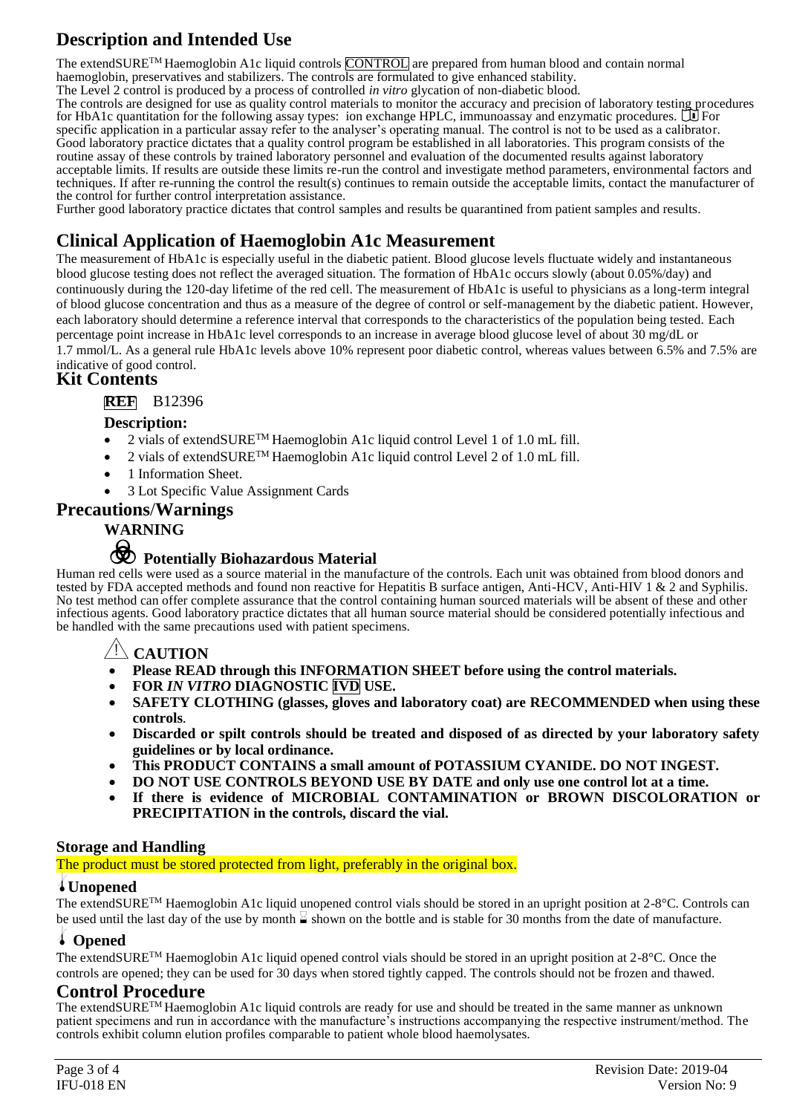## **Description and Intended Use**

The extendSURE<sup>TM</sup> Haemoglobin A1c liquid controls CONTROL are prepared from human blood and contain normal haemoglobin, preservatives and stabilizers. The controls are formulated to give enhanced stability. The Level 2 control is produced by a process of controlled *in vitro* glycation of non-diabetic blood.

The controls are designed for use as quality control materials to monitor the accuracy and precision of laboratory testing procedures for HbA1c quantitation for the following assay types: ion exchange HPLC, immunoassay and enzymatic procedures.  $\Box$  For specific application in a particular assay refer to the analyser's operating manual. The control is not to be used as a calibrator. Good laboratory practice dictates that a quality control program be established in all laboratories. This program consists of the routine assay of these controls by trained laboratory personnel and evaluation of the documented results against laboratory acceptable limits. If results are outside these limits re-run the control and investigate method parameters, environmental factors and techniques. If after re-running the control the result(s) continues to remain outside the acceptable limits, contact the manufacturer of the control for further control interpretation assistance.

Further good laboratory practice dictates that control samples and results be quarantined from patient samples and results.

### **Clinical Application of Haemoglobin A1c Measurement**

The measurement of HbA1c is especially useful in the diabetic patient. Blood glucose levels fluctuate widely and instantaneous blood glucose testing does not reflect the averaged situation. The formation of HbA1c occurs slowly (about 0.05%/day) and continuously during the 120-day lifetime of the red cell. The measurement of HbA1c is useful to physicians as a long-term integral of blood glucose concentration and thus as a measure of the degree of control or self-management by the diabetic patient. However, each laboratory should determine a reference interval that corresponds to the characteristics of the population being tested. Each percentage point increase in HbA1c level corresponds to an increase in average blood glucose level of about 30 mg/dL or 1.7 mmol/L. As a general rule HbA1c levels above 10% represent poor diabetic control, whereas values between 6.5% and 7.5% are

### indicative of good control.

### **Kit Contents**

### **REF** B12396

### **Description:**

- 2 vials of extendSURE™ Haemoglobin A1c liquid control Level 1 of 1.0 mL fill.
- 2 vials of extendSURE<sup>TM</sup> Haemoglobin A1c liquid control Level 2 of 1.0 mL fill.
- 1 Information Sheet.
- 3 Lot Specific Value Assignment Cards

### **Precautions**/**Warnings**

### **WARNING**

# F **Potentially Biohazardous Material**

Human red cells were used as a source material in the manufacture of the controls. Each unit was obtained from blood donors and tested by FDA accepted methods and found non reactive for Hepatitis B surface antigen, Anti-HCV, Anti-HIV 1 & 2 and Syphilis. No test method can offer complete assurance that the control containing human sourced materials will be absent of these and other infectious agents. Good laboratory practice dictates that all human source material should be considered potentially infectious and be handled with the same precautions used with patient specimens.

### $\Delta$  **CAUTION**

- **Please READ through this INFORMATION SHEET before using the control materials.**
- **FOR** *IN VITRO* **DIAGNOSTIC IVD USE.**
- **SAFETY CLOTHING (glasses, gloves and laboratory coat) are RECOMMENDED when using these controls***.*
- **Discarded or spilt controls should be treated and disposed of as directed by your laboratory safety guidelines or by local ordinance.**
- **This PRODUCT CONTAINS a small amount of POTASSIUM CYANIDE. DO NOT INGEST.**
- **DO NOT USE CONTROLS BEYOND USE BY DATE and only use one control lot at a time.**
- **If there is evidence of MICROBIAL CONTAMINATION or BROWN DISCOLORATION or PRECIPITATION in the controls, discard the vial.**

### **Storage and Handling**

The product must be stored protected from light, preferably in the original box.

### l**Unopened**

The extendSURETM Haemoglobin A1c liquid unopened control vials should be stored in an upright position at 2-8°C. Controls can be used until the last day of the use by month  $\leq$  shown on the bottle and is stable for 30 months from the date of manufacture.

### l **Opened**

The extendSURETM Haemoglobin A1c liquid opened control vials should be stored in an upright position at 2-8°C. Once the controls are opened; they can be used for 30 days when stored tightly capped. The controls should not be frozen and thawed.

### **Control Procedure**

The extendSURETM Haemoglobin A1c liquid controls are ready for use and should be treated in the same manner as unknown patient specimens and run in accordance with the manufacture's instructions accompanying the respective instrument/method. The controls exhibit column elution profiles comparable to patient whole blood haemolysates.